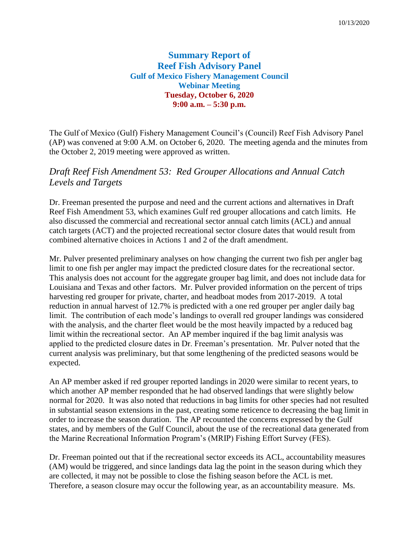# **Summary Report of Reef Fish Advisory Panel Gulf of Mexico Fishery Management Council Webinar Meeting Tuesday, October 6, 2020 9:00 a.m. – 5:30 p.m.**

The Gulf of Mexico (Gulf) Fishery Management Council's (Council) Reef Fish Advisory Panel (AP) was convened at 9:00 A.M. on October 6, 2020. The meeting agenda and the minutes from the October 2, 2019 meeting were approved as written.

# *Draft Reef Fish Amendment 53: Red Grouper Allocations and Annual Catch Levels and Targets*

Dr. Freeman presented the purpose and need and the current actions and alternatives in Draft Reef Fish Amendment 53, which examines Gulf red grouper allocations and catch limits. He also discussed the commercial and recreational sector annual catch limits (ACL) and annual catch targets (ACT) and the projected recreational sector closure dates that would result from combined alternative choices in Actions 1 and 2 of the draft amendment.

Mr. Pulver presented preliminary analyses on how changing the current two fish per angler bag limit to one fish per angler may impact the predicted closure dates for the recreational sector. This analysis does not account for the aggregate grouper bag limit, and does not include data for Louisiana and Texas and other factors. Mr. Pulver provided information on the percent of trips harvesting red grouper for private, charter, and headboat modes from 2017-2019. A total reduction in annual harvest of 12.7% is predicted with a one red grouper per angler daily bag limit. The contribution of each mode's landings to overall red grouper landings was considered with the analysis, and the charter fleet would be the most heavily impacted by a reduced bag limit within the recreational sector. An AP member inquired if the bag limit analysis was applied to the predicted closure dates in Dr. Freeman's presentation. Mr. Pulver noted that the current analysis was preliminary, but that some lengthening of the predicted seasons would be expected.

An AP member asked if red grouper reported landings in 2020 were similar to recent years, to which another AP member responded that he had observed landings that were slightly below normal for 2020. It was also noted that reductions in bag limits for other species had not resulted in substantial season extensions in the past, creating some reticence to decreasing the bag limit in order to increase the season duration. The AP recounted the concerns expressed by the Gulf states, and by members of the Gulf Council, about the use of the recreational data generated from the Marine Recreational Information Program's (MRIP) Fishing Effort Survey (FES).

Dr. Freeman pointed out that if the recreational sector exceeds its ACL, accountability measures (AM) would be triggered, and since landings data lag the point in the season during which they are collected, it may not be possible to close the fishing season before the ACL is met. Therefore, a season closure may occur the following year, as an accountability measure. Ms.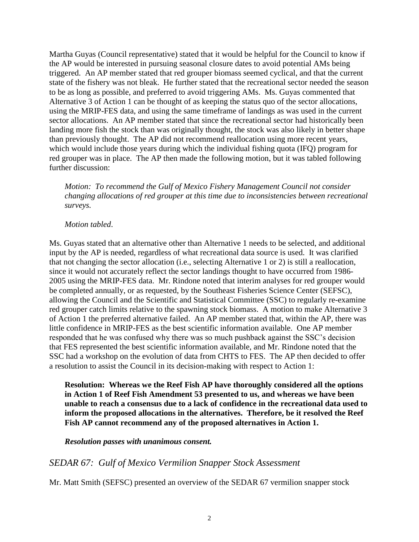Martha Guyas (Council representative) stated that it would be helpful for the Council to know if the AP would be interested in pursuing seasonal closure dates to avoid potential AMs being triggered. An AP member stated that red grouper biomass seemed cyclical, and that the current state of the fishery was not bleak. He further stated that the recreational sector needed the season to be as long as possible, and preferred to avoid triggering AMs. Ms. Guyas commented that Alternative 3 of Action 1 can be thought of as keeping the status quo of the sector allocations, using the MRIP-FES data, and using the same timeframe of landings as was used in the current sector allocations. An AP member stated that since the recreational sector had historically been landing more fish the stock than was originally thought, the stock was also likely in better shape than previously thought. The AP did not recommend reallocation using more recent years, which would include those years during which the individual fishing quota (IFQ) program for red grouper was in place. The AP then made the following motion, but it was tabled following further discussion:

*Motion: To recommend the Gulf of Mexico Fishery Management Council not consider changing allocations of red grouper at this time due to inconsistencies between recreational surveys.*

## *Motion tabled*.

Ms. Guyas stated that an alternative other than Alternative 1 needs to be selected, and additional input by the AP is needed, regardless of what recreational data source is used. It was clarified that not changing the sector allocation (i.e., selecting Alternative 1 or 2) is still a reallocation, since it would not accurately reflect the sector landings thought to have occurred from 1986- 2005 using the MRIP-FES data. Mr. Rindone noted that interim analyses for red grouper would be completed annually, or as requested, by the Southeast Fisheries Science Center (SEFSC), allowing the Council and the Scientific and Statistical Committee (SSC) to regularly re-examine red grouper catch limits relative to the spawning stock biomass. A motion to make Alternative 3 of Action 1 the preferred alternative failed. An AP member stated that, within the AP, there was little confidence in MRIP-FES as the best scientific information available. One AP member responded that he was confused why there was so much pushback against the SSC's decision that FES represented the best scientific information available, and Mr. Rindone noted that the SSC had a workshop on the evolution of data from CHTS to FES. The AP then decided to offer a resolution to assist the Council in its decision-making with respect to Action 1:

**Resolution: Whereas we the Reef Fish AP have thoroughly considered all the options in Action 1 of Reef Fish Amendment 53 presented to us, and whereas we have been unable to reach a consensus due to a lack of confidence in the recreational data used to inform the proposed allocations in the alternatives. Therefore, be it resolved the Reef Fish AP cannot recommend any of the proposed alternatives in Action 1.**

### *Resolution passes with unanimous consent.*

## *SEDAR 67: Gulf of Mexico Vermilion Snapper Stock Assessment*

Mr. Matt Smith (SEFSC) presented an overview of the SEDAR 67 vermilion snapper stock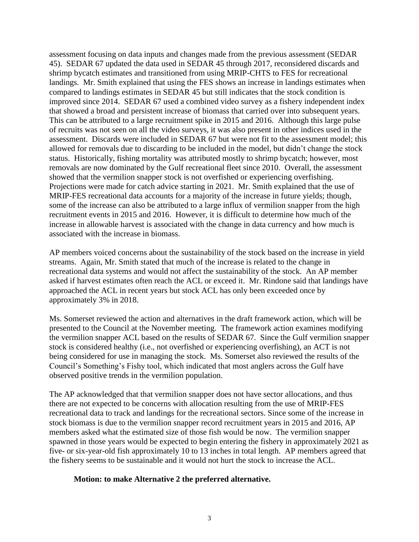assessment focusing on data inputs and changes made from the previous assessment (SEDAR 45). SEDAR 67 updated the data used in SEDAR 45 through 2017, reconsidered discards and shrimp bycatch estimates and transitioned from using MRIP-CHTS to FES for recreational landings. Mr. Smith explained that using the FES shows an increase in landings estimates when compared to landings estimates in SEDAR 45 but still indicates that the stock condition is improved since 2014. SEDAR 67 used a combined video survey as a fishery independent index that showed a broad and persistent increase of biomass that carried over into subsequent years. This can be attributed to a large recruitment spike in 2015 and 2016. Although this large pulse of recruits was not seen on all the video surveys, it was also present in other indices used in the assessment. Discards were included in SEDAR 67 but were not fit to the assessment model; this allowed for removals due to discarding to be included in the model, but didn't change the stock status. Historically, fishing mortality was attributed mostly to shrimp bycatch; however, most removals are now dominated by the Gulf recreational fleet since 2010. Overall, the assessment showed that the vermilion snapper stock is not overfished or experiencing overfishing. Projections were made for catch advice starting in 2021. Mr. Smith explained that the use of MRIP-FES recreational data accounts for a majority of the increase in future yields; though, some of the increase can also be attributed to a large influx of vermilion snapper from the high recruitment events in 2015 and 2016. However, it is difficult to determine how much of the increase in allowable harvest is associated with the change in data currency and how much is associated with the increase in biomass.

AP members voiced concerns about the sustainability of the stock based on the increase in yield streams. Again, Mr. Smith stated that much of the increase is related to the change in recreational data systems and would not affect the sustainability of the stock. An AP member asked if harvest estimates often reach the ACL or exceed it. Mr. Rindone said that landings have approached the ACL in recent years but stock ACL has only been exceeded once by approximately 3% in 2018.

Ms. Somerset reviewed the action and alternatives in the draft framework action, which will be presented to the Council at the November meeting. The framework action examines modifying the vermilion snapper ACL based on the results of SEDAR 67. Since the Gulf vermilion snapper stock is considered healthy (i.e., not overfished or experiencing overfishing), an ACT is not being considered for use in managing the stock. Ms. Somerset also reviewed the results of the Council's Something's Fishy tool, which indicated that most anglers across the Gulf have observed positive trends in the vermilion population.

The AP acknowledged that that vermilion snapper does not have sector allocations, and thus there are not expected to be concerns with allocation resulting from the use of MRIP-FES recreational data to track and landings for the recreational sectors. Since some of the increase in stock biomass is due to the vermilion snapper record recruitment years in 2015 and 2016, AP members asked what the estimated size of those fish would be now. The vermilion snapper spawned in those years would be expected to begin entering the fishery in approximately 2021 as five- or six-year-old fish approximately 10 to 13 inches in total length. AP members agreed that the fishery seems to be sustainable and it would not hurt the stock to increase the ACL.

## **Motion: to make Alternative 2 the preferred alternative.**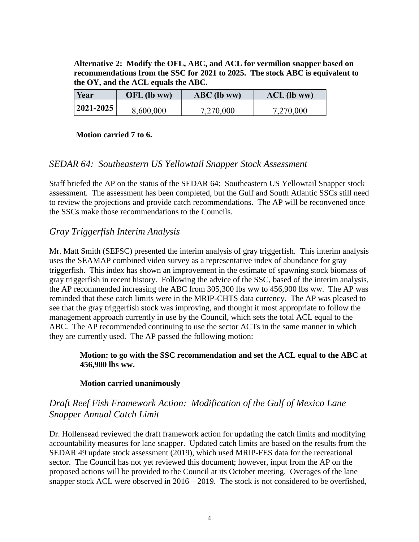**Alternative 2: Modify the OFL, ABC, and ACL for vermilion snapper based on recommendations from the SSC for 2021 to 2025. The stock ABC is equivalent to the OY, and the ACL equals the ABC.**

| Year            | $OFL$ (lb ww) | $ABC$ (lb ww) | $ACL$ (lb ww) |
|-----------------|---------------|---------------|---------------|
| $ 2021 - 2025 $ | 8,600,000     | 7,270,000     | 7,270,000     |

### **Motion carried 7 to 6.**

## *SEDAR 64: Southeastern US Yellowtail Snapper Stock Assessment*

Staff briefed the AP on the status of the SEDAR 64: Southeastern US Yellowtail Snapper stock assessment. The assessment has been completed, but the Gulf and South Atlantic SSCs still need to review the projections and provide catch recommendations. The AP will be reconvened once the SSCs make those recommendations to the Councils.

## *Gray Triggerfish Interim Analysis*

Mr. Matt Smith (SEFSC) presented the interim analysis of gray triggerfish. This interim analysis uses the SEAMAP combined video survey as a representative index of abundance for gray triggerfish. This index has shown an improvement in the estimate of spawning stock biomass of gray triggerfish in recent history. Following the advice of the SSC, based of the interim analysis, the AP recommended increasing the ABC from 305,300 lbs ww to 456,900 lbs ww. The AP was reminded that these catch limits were in the MRIP-CHTS data currency. The AP was pleased to see that the gray triggerfish stock was improving, and thought it most appropriate to follow the management approach currently in use by the Council, which sets the total ACL equal to the ABC. The AP recommended continuing to use the sector ACTs in the same manner in which they are currently used. The AP passed the following motion:

## **Motion: to go with the SSC recommendation and set the ACL equal to the ABC at 456,900 lbs ww.**

## **Motion carried unanimously**

# *Draft Reef Fish Framework Action: Modification of the Gulf of Mexico Lane Snapper Annual Catch Limit*

Dr. Hollensead reviewed the draft framework action for updating the catch limits and modifying accountability measures for lane snapper. Updated catch limits are based on the results from the SEDAR 49 update stock assessment (2019), which used MRIP-FES data for the recreational sector. The Council has not yet reviewed this document; however, input from the AP on the proposed actions will be provided to the Council at its October meeting. Overages of the lane snapper stock ACL were observed in  $2016 - 2019$ . The stock is not considered to be overfished,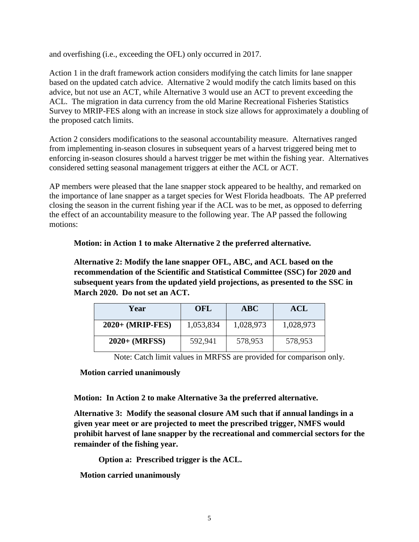and overfishing (i.e., exceeding the OFL) only occurred in 2017.

Action 1 in the draft framework action considers modifying the catch limits for lane snapper based on the updated catch advice. Alternative 2 would modify the catch limits based on this advice, but not use an ACT, while Alternative 3 would use an ACT to prevent exceeding the ACL. The migration in data currency from the old Marine Recreational Fisheries Statistics Survey to MRIP-FES along with an increase in stock size allows for approximately a doubling of the proposed catch limits.

Action 2 considers modifications to the seasonal accountability measure. Alternatives ranged from implementing in-season closures in subsequent years of a harvest triggered being met to enforcing in-season closures should a harvest trigger be met within the fishing year. Alternatives considered setting seasonal management triggers at either the ACL or ACT.

AP members were pleased that the lane snapper stock appeared to be healthy, and remarked on the importance of lane snapper as a target species for West Florida headboats. The AP preferred closing the season in the current fishing year if the ACL was to be met, as opposed to deferring the effect of an accountability measure to the following year. The AP passed the following motions:

**Motion: in Action 1 to make Alternative 2 the preferred alternative.** 

**Alternative 2: Modify the lane snapper OFL, ABC, and ACL based on the recommendation of the Scientific and Statistical Committee (SSC) for 2020 and subsequent years from the updated yield projections, as presented to the SSC in March 2020. Do not set an ACT.**

| Year                      | OFL       | ABC       | ACL       |
|---------------------------|-----------|-----------|-----------|
| $2020+ (MRIP\text{-}FES)$ | 1,053,834 | 1,028,973 | 1,028,973 |
| $2020+ (MRFSS)$           | 592,941   | 578,953   | 578,953   |

Note: Catch limit values in MRFSS are provided for comparison only.

**Motion carried unanimously**

**Motion: In Action 2 to make Alternative 3a the preferred alternative.**

**Alternative 3: Modify the seasonal closure AM such that if annual landings in a given year meet or are projected to meet the prescribed trigger, NMFS would prohibit harvest of lane snapper by the recreational and commercial sectors for the remainder of the fishing year.** 

**Option a: Prescribed trigger is the ACL.**

**Motion carried unanimously**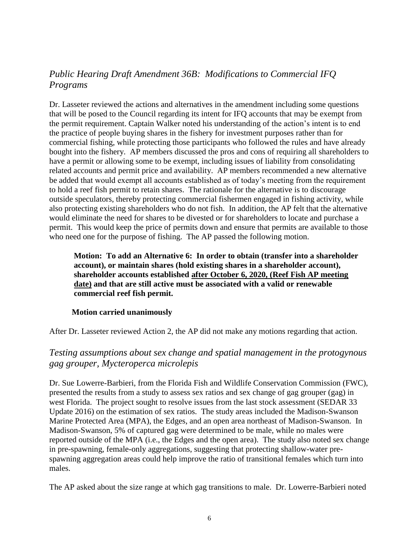# *Public Hearing Draft Amendment 36B: Modifications to Commercial IFQ Programs*

Dr. Lasseter reviewed the actions and alternatives in the amendment including some questions that will be posed to the Council regarding its intent for IFQ accounts that may be exempt from the permit requirement. Captain Walker noted his understanding of the action's intent is to end the practice of people buying shares in the fishery for investment purposes rather than for commercial fishing, while protecting those participants who followed the rules and have already bought into the fishery. AP members discussed the pros and cons of requiring all shareholders to have a permit or allowing some to be exempt, including issues of liability from consolidating related accounts and permit price and availability. AP members recommended a new alternative be added that would exempt all accounts established as of today's meeting from the requirement to hold a reef fish permit to retain shares. The rationale for the alternative is to discourage outside speculators, thereby protecting commercial fishermen engaged in fishing activity, while also protecting existing shareholders who do not fish. In addition, the AP felt that the alternative would eliminate the need for shares to be divested or for shareholders to locate and purchase a permit. This would keep the price of permits down and ensure that permits are available to those who need one for the purpose of fishing. The AP passed the following motion.

**Motion: To add an Alternative 6: In order to obtain (transfer into a shareholder account), or maintain shares (hold existing shares in a shareholder account), shareholder accounts established after October 6, 2020, (Reef Fish AP meeting date) and that are still active must be associated with a valid or renewable commercial reef fish permit.** 

## **Motion carried unanimously**

After Dr. Lasseter reviewed Action 2, the AP did not make any motions regarding that action.

# *Testing assumptions about sex change and spatial management in the protogynous gag grouper, Mycteroperca microlepis*

Dr. Sue Lowerre-Barbieri, from the Florida Fish and Wildlife Conservation Commission (FWC), presented the results from a study to assess sex ratios and sex change of gag grouper (gag) in west Florida. The project sought to resolve issues from the last stock assessment (SEDAR 33 Update 2016) on the estimation of sex ratios. The study areas included the Madison-Swanson Marine Protected Area (MPA), the Edges, and an open area northeast of Madison-Swanson. In Madison-Swanson, 5% of captured gag were determined to be male, while no males were reported outside of the MPA (i.e., the Edges and the open area). The study also noted sex change in pre-spawning, female-only aggregations, suggesting that protecting shallow-water prespawning aggregation areas could help improve the ratio of transitional females which turn into males.

The AP asked about the size range at which gag transitions to male. Dr. Lowerre-Barbieri noted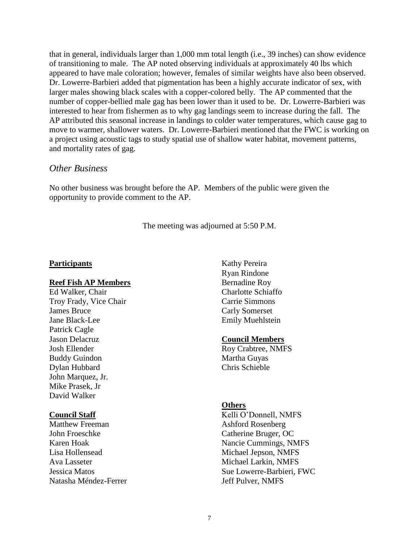that in general, individuals larger than 1,000 mm total length (i.e., 39 inches) can show evidence of transitioning to male. The AP noted observing individuals at approximately 40 lbs which appeared to have male coloration; however, females of similar weights have also been observed. Dr. Lowerre-Barbieri added that pigmentation has been a highly accurate indicator of sex, with larger males showing black scales with a copper-colored belly. The AP commented that the number of copper-bellied male gag has been lower than it used to be. Dr. Lowerre-Barbieri was interested to hear from fishermen as to why gag landings seem to increase during the fall. The AP attributed this seasonal increase in landings to colder water temperatures, which cause gag to move to warmer, shallower waters. Dr. Lowerre-Barbieri mentioned that the FWC is working on a project using acoustic tags to study spatial use of shallow water habitat, movement patterns, and mortality rates of gag.

### *Other Business*

No other business was brought before the AP. Members of the public were given the opportunity to provide comment to the AP.

The meeting was adjourned at 5:50 P.M.

### **Participants**

### **Reef Fish AP Members**

Ed Walker, Chair Troy Frady, Vice Chair James Bruce Jane Black-Lee Patrick Cagle Jason Delacruz Josh Ellender Buddy Guindon Dylan Hubbard John Marquez, Jr. Mike Prasek, Jr David Walker

### **Council Staff**

Matthew Freeman John Froeschke Karen Hoak Lisa Hollensead Ava Lasseter Jessica Matos Natasha Méndez-Ferrer

Kathy Pereira Ryan Rindone Bernadine Roy Charlotte Schiaffo Carrie Simmons Carly Somerset Emily Muehlstein

### **Council Members**

Roy Crabtree, NMFS Martha Guyas Chris Schieble

### **Others**

Kelli O'Donnell, NMFS Ashford Rosenberg Catherine Bruger, OC Nancie Cummings, NMFS Michael Jepson, NMFS Michael Larkin, NMFS Sue Lowerre-Barbieri, FWC Jeff Pulver, NMFS